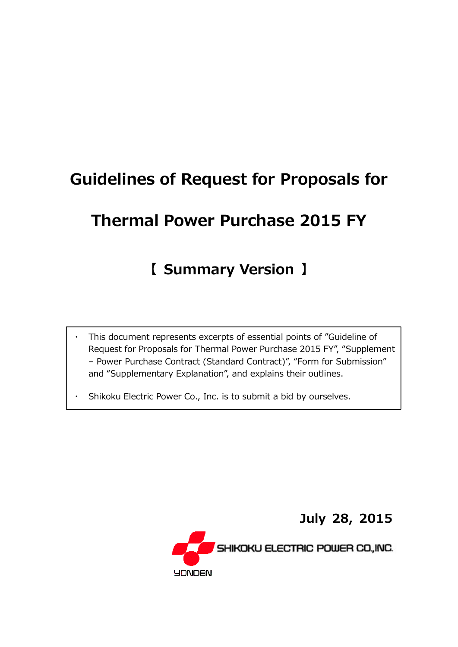# Guidelines of Request for Proposals for

# Thermal Power Purchase 2015 FY

## 【 Summary Version 】

- This document represents excerpts of essential points of "Guideline of Request for Proposals for Thermal Power Purchase 2015 FY", "Supplement – Power Purchase Contract (Standard Contract)", "Form for Submission" and "Supplementary Explanation", and explains their outlines.
- Shikoku Electric Power Co., Inc. is to submit a bid by ourselves.

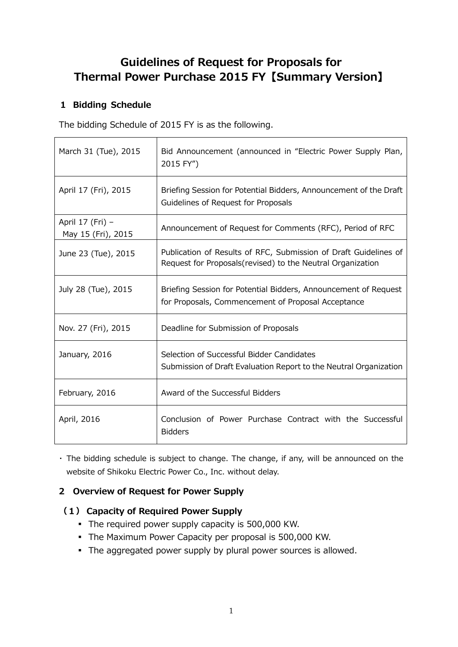## Guidelines of Request for Proposals for Thermal Power Purchase 2015 FY【**Summary Version**】

## **1 Bidding Schedule**

The bidding Schedule of 2015 FY is as the following.

| March 31 (Tue), 2015                   | Bid Announcement (announced in "Electric Power Supply Plan,<br>2015 FY")                                                        |
|----------------------------------------|---------------------------------------------------------------------------------------------------------------------------------|
| April 17 (Fri), 2015                   | Briefing Session for Potential Bidders, Announcement of the Draft<br>Guidelines of Request for Proposals                        |
| April 17 (Fri) -<br>May 15 (Fri), 2015 | Announcement of Request for Comments (RFC), Period of RFC                                                                       |
| June 23 (Tue), 2015                    | Publication of Results of RFC, Submission of Draft Guidelines of<br>Request for Proposals (revised) to the Neutral Organization |
| July 28 (Tue), 2015                    | Briefing Session for Potential Bidders, Announcement of Request<br>for Proposals, Commencement of Proposal Acceptance           |
| Nov. 27 (Fri), 2015                    | Deadline for Submission of Proposals                                                                                            |
| January, 2016                          | Selection of Successful Bidder Candidates<br>Submission of Draft Evaluation Report to the Neutral Organization                  |
| February, 2016                         | Award of the Successful Bidders                                                                                                 |
| April, 2016                            | Conclusion of Power Purchase Contract with the Successful<br><b>Bidders</b>                                                     |

▪ The bidding schedule is subject to change. The change, if any, will be announced on the website of Shikoku Electric Power Co., Inc. without delay.

## **2 Overview of Request for Power Supply**

## **(1) Capacity of Required Power Supply**

- The required power supply capacity is 500,000 KW.
- The Maximum Power Capacity per proposal is 500,000 KW.
- **•** The aggregated power supply by plural power sources is allowed.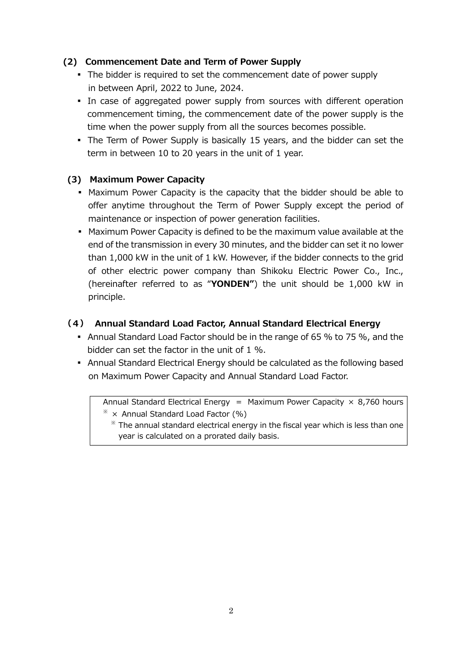#### **(2) Commencement Date and Term of Power Supply**

- The bidder is required to set the commencement date of power supply in between April, 2022 to June, 2024.
- In case of aggregated power supply from sources with different operation commencement timing, the commencement date of the power supply is the time when the power supply from all the sources becomes possible.
- The Term of Power Supply is basically 15 years, and the bidder can set the term in between 10 to 20 years in the unit of 1 year.

#### **(3) Maximum Power Capacity**

- **Maximum Power Capacity is the capacity that the bidder should be able to** offer anytime throughout the Term of Power Supply except the period of maintenance or inspection of power generation facilities.
- **Maximum Power Capacity is defined to be the maximum value available at the** end of the transmission in every 30 minutes, and the bidder can set it no lower than 1,000 kW in the unit of 1 kW. However, if the bidder connects to the grid of other electric power company than Shikoku Electric Power Co., Inc., (hereinafter referred to as "**YONDEN"**) the unit should be 1,000 kW in principle.

#### **(4) Annual Standard Load Factor, Annual Standard Electrical Energy**

- Annual Standard Load Factor should be in the range of 65 % to 75 %, and the bidder can set the factor in the unit of 1 %.
- Annual Standard Electrical Energy should be calculated as the following based on Maximum Power Capacity and Annual Standard Load Factor.

Annual Standard Electrical Energy = Maximum Power Capacity  $\times$  8,760 hours

 $*$  × Annual Standard Load Factor (%)

 $*$  The annual standard electrical energy in the fiscal year which is less than one year is calculated on a prorated daily basis.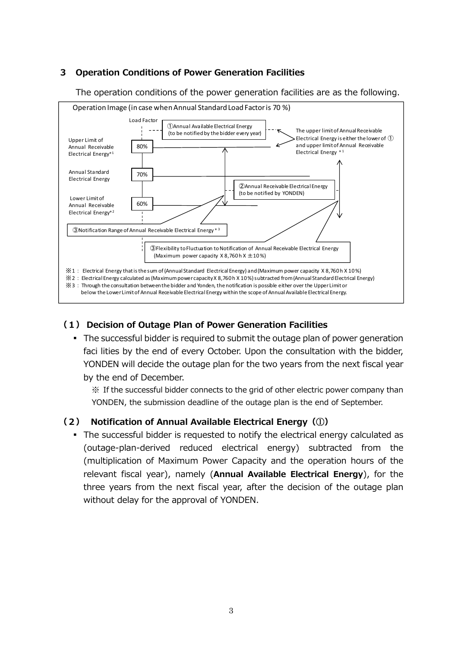### **3 Operation Conditions of Power Generation Facilities**

The operation conditions of the power generation facilities are as the following.



#### **(1) Decision of Outage Plan of Power Generation Facilities**

• The successful bidder is required to submit the outage plan of power generation faci lities by the end of every October. Upon the consultation with the bidder, YONDEN will decide the outage plan for the two years from the next fiscal year by the end of December.

※ If the successful bidder connects to the grid of other electric power company than YONDEN, the submission deadline of the outage plan is the end of September.

#### **(2) Notification of Annual Available Electrical Energy(**①**)**

▪ The successful bidder is requested to notify the electrical energy calculated as (outage-plan-derived reduced electrical energy) subtracted from the (multiplication of Maximum Power Capacity and the operation hours of the relevant fiscal year), namely (**Annual Available Electrical Energy**), for the three years from the next fiscal year, after the decision of the outage plan without delay for the approval of YONDEN.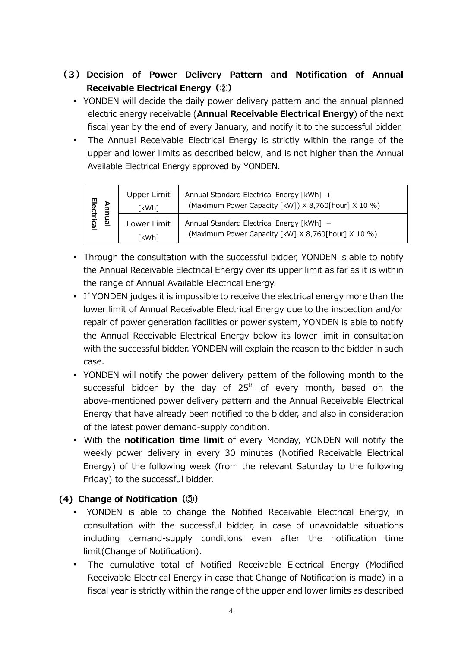## **(3) Decision of Power Delivery Pattern and Notification of Annual Receivable Electrical Energy(②)**

- YONDEN will decide the daily power delivery pattern and the annual planned electric energy receivable (**Annual Receivable Electrical Energy**) of the next fiscal year by the end of every January, and notify it to the successful bidder.
- **•** The Annual Receivable Electrical Energy is strictly within the range of the upper and lower limits as described below, and is not higher than the Annual Available Electrical Energy approved by YONDEN.

| 믕     | <b>Upper Limit</b><br>[kWh] | Annual Standard Electrical Energy [kWh] +<br>(Maximum Power Capacity [kW]) X 8,760[hour] X 10 %) |
|-------|-----------------------------|--------------------------------------------------------------------------------------------------|
| ੂਰੋਂ: | Lower Limit                 | Annual Standard Electrical Energy [kWh] -                                                        |
| ဥ္    | 「kWh]                       | (Maximum Power Capacity [kW] X 8,760[hour] X 10 %)                                               |

- Through the consultation with the successful bidder, YONDEN is able to notify the Annual Receivable Electrical Energy over its upper limit as far as it is within the range of Annual Available Electrical Energy.
- **•** If YONDEN judges it is impossible to receive the electrical energy more than the lower limit of Annual Receivable Electrical Energy due to the inspection and/or repair of power generation facilities or power system, YONDEN is able to notify the Annual Receivable Electrical Energy below its lower limit in consultation with the successful bidder. YONDEN will explain the reason to the bidder in such case.
- YONDEN will notify the power delivery pattern of the following month to the successful bidder by the day of 25<sup>th</sup> of every month, based on the above-mentioned power delivery pattern and the Annual Receivable Electrical Energy that have already been notified to the bidder, and also in consideration of the latest power demand-supply condition.
- With the **notification time limit** of every Monday, YONDEN will notify the weekly power delivery in every 30 minutes (Notified Receivable Electrical Energy) of the following week (from the relevant Saturday to the following Friday) to the successful bidder.

## **(4) Change of Notification(**③**)**

- YONDEN is able to change the Notified Receivable Electrical Energy, in consultation with the successful bidder, in case of unavoidable situations including demand-supply conditions even after the notification time limit(Change of Notification).
- The cumulative total of Notified Receivable Electrical Energy (Modified Receivable Electrical Energy in case that Change of Notification is made) in a fiscal year is strictly within the range of the upper and lower limits as described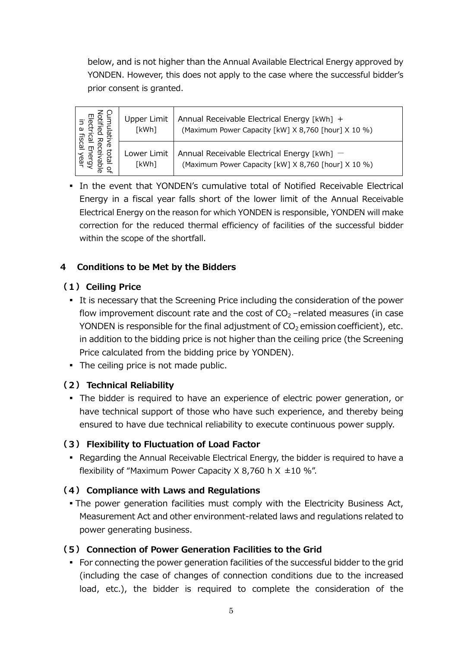below, and is not higher than the Annual Available Electrical Energy approved by YONDEN. However, this does not apply to the case where the successful bidder's prior consent is granted.

| 공 2<br>观<br>Ф<br>ਨ੍<br>(D<br>e9<br>Q | Upper Limit<br>[kWh] | Annual Receivable Electrical Energy [kWh] +<br>(Maximum Power Capacity [kW] X 8,760 [hour] X 10 %) |
|--------------------------------------|----------------------|----------------------------------------------------------------------------------------------------|
|                                      | Lower Limit<br>[kWh] | Annual Receivable Electrical Energy [kWh] -<br>(Maximum Power Capacity [kW] X 8,760 [hour] X 10 %) |

▪ In the event that YONDEN's cumulative total of Notified Receivable Electrical Energy in a fiscal year falls short of the lower limit of the Annual Receivable Electrical Energy on the reason for which YONDEN is responsible, YONDEN will make correction for the reduced thermal efficiency of facilities of the successful bidder within the scope of the shortfall.

#### **4 Conditions to be Met by the Bidders**

#### **(1) Ceiling Price**

- It is necessary that the Screening Price including the consideration of the power flow improvement discount rate and the cost of  $CO<sub>2</sub>$  –related measures (in case YONDEN is responsible for the final adjustment of  $CO<sub>2</sub>$  emission coefficient), etc. in addition to the bidding price is not higher than the ceiling price (the Screening Price calculated from the bidding price by YONDEN).
- The ceiling price is not made public.

#### **(2) Technical Reliability**

▪ The bidder is required to have an experience of electric power generation, or have technical support of those who have such experience, and thereby being ensured to have due technical reliability to execute continuous power supply.

#### **(3) Flexibility to Fluctuation of Load Factor**

■ Regarding the Annual Receivable Electrical Energy, the bidder is required to have a flexibility of "Maximum Power Capacity X 8,760 h  $X \pm 10$  %".

#### **(4) Compliance with Laws and Regulations**

• The power generation facilities must comply with the Electricity Business Act, Measurement Act and other environment-related laws and regulations related to power generating business.

#### **(5) Connection of Power Generation Facilities to the Grid**

▪ For connecting the power generation facilities of the successful bidder to the grid (including the case of changes of connection conditions due to the increased load, etc.), the bidder is required to complete the consideration of the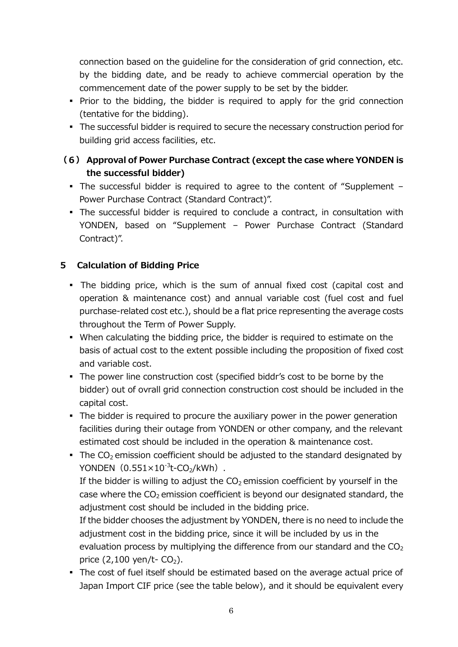connection based on the guideline for the consideration of grid connection, etc. by the bidding date, and be ready to achieve commercial operation by the commencement date of the power supply to be set by the bidder.

- Prior to the bidding, the bidder is required to apply for the grid connection (tentative for the bidding).
- The successful bidder is required to secure the necessary construction period for building grid access facilities, etc.

## **(6) Approval of Power Purchase Contract (except the case where YONDEN is the successful bidder)**

- The successful bidder is required to agree to the content of "Supplement Power Purchase Contract (Standard Contract)".
- The successful bidder is required to conclude a contract, in consultation with YONDEN, based on "Supplement – Power Purchase Contract (Standard Contract)".

## **5 Calculation of Bidding Price**

- The bidding price, which is the sum of annual fixed cost (capital cost and operation & maintenance cost) and annual variable cost (fuel cost and fuel purchase-related cost etc.), should be a flat price representing the average costs throughout the Term of Power Supply.
- When calculating the bidding price, the bidder is required to estimate on the basis of actual cost to the extent possible including the proposition of fixed cost and variable cost.
- The power line construction cost (specified biddr's cost to be borne by the bidder) out of ovrall grid connection construction cost should be included in the capital cost.
- The bidder is required to procure the auxiliary power in the power generation facilities during their outage from YONDEN or other company, and the relevant estimated cost should be included in the operation & maintenance cost.
- **•** The  $CO<sub>2</sub>$  emission coefficient should be adjusted to the standard designated by YONDEN $(0.551\times10^{-3}t$ -CO<sub>2</sub>/kWh). If the bidder is willing to adjust the  $CO<sub>2</sub>$  emission coefficient by yourself in the case where the  $CO<sub>2</sub>$  emission coefficient is beyond our designated standard, the adjustment cost should be included in the bidding price. If the bidder chooses the adjustment by YONDEN, there is no need to include the adjustment cost in the bidding price, since it will be included by us in the evaluation process by multiplying the difference from our standard and the  $CO<sub>2</sub>$ price  $(2,100 \text{ yen/t} - \text{CO}_2)$ .
- The cost of fuel itself should be estimated based on the average actual price of Japan Import CIF price (see the table below), and it should be equivalent every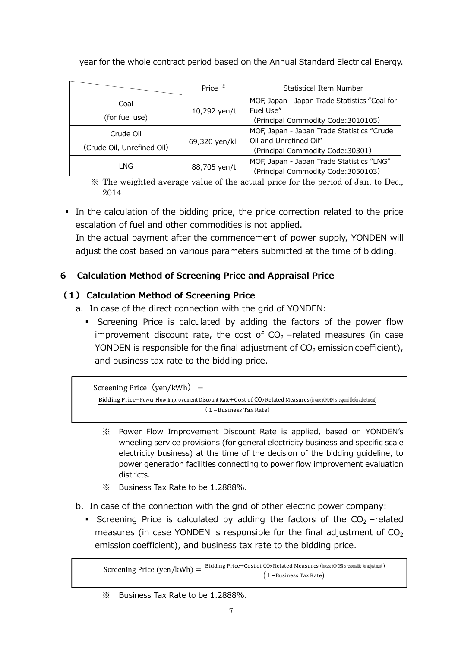year for the whole contract period based on the Annual Standard Electrical Energy.

|                                         | Price *       | Statistical Item Number                                                                                   |
|-----------------------------------------|---------------|-----------------------------------------------------------------------------------------------------------|
| Coal<br>(for fuel use)                  | 10,292 yen/t  | MOF, Japan - Japan Trade Statistics "Coal for<br>Fuel Use"<br>(Principal Commodity Code: 3010105)         |
| Crude Oil<br>(Crude Oil, Unrefined Oil) | 69,320 yen/kl | MOF, Japan - Japan Trade Statistics "Crude<br>Oil and Unrefined Oil"<br>(Principal Commodity Code: 30301) |
| LNG<br>88,705 yen/t                     |               | MOF, Japan - Japan Trade Statistics "LNG"<br>(Principal Commodity Code: 3050103)                          |

※ The weighted average value of the actual price for the period of Jan. to Dec., 2014

• In the calculation of the bidding price, the price correction related to the price escalation of fuel and other commodities is not applied.

 In the actual payment after the commencement of power supply, YONDEN will adjust the cost based on various parameters submitted at the time of bidding.

## **6 Calculation Method of Screening Price and Appraisal Price**

## **(1) Calculation Method of Screening Price**

- a. In case of the direct connection with the grid of YONDEN:
	- Screening Price is calculated by adding the factors of the power flow improvement discount rate, the cost of  $CO<sub>2</sub>$  –related measures (in case YONDEN is responsible for the final adjustment of  $CO<sub>2</sub>$  emission coefficient), and business tax rate to the bidding price.

```
Screening Price (\text{ven}/kWh) =

Bidding Price-Power Flow Improvement Discount Rate±Cost of CO<sub>2</sub> Related Measures (in case YONDEN is responsible for adjustment)
                                                  (1 - Business Tax Rate)\ddot{\phantom{0}}
```
- ※ Power Flow Improvement Discount Rate is applied, based on YONDEN's wheeling service provisions (for general electricity business and specific scale electricity business) at the time of the decision of the bidding guideline, to power generation facilities connecting to power flow improvement evaluation districts.
- ※ Business Tax Rate to be 1.2888%.
- b. In case of the connection with the grid of other electric power company:
	- **•** Screening Price is calculated by adding the factors of the  $CO<sub>2</sub>$  –related measures (in case YONDEN is responsible for the final adjustment of  $CO<sub>2</sub>$ emission coefficient), and business tax rate to the bidding price.

Screening Price (ven/kWh) =  $\frac{\text{Bidding Price} \pm \text{Cost of CO}_2 \text{ Related Measures}(\text{in case } \text{YONDEN is responsible for adjustment})}{\sqrt{\text{AMOC}}}\$  $(1 - Business Tax Rate)$ 

<sup>※</sup> Business Tax Rate to be 1.2888%.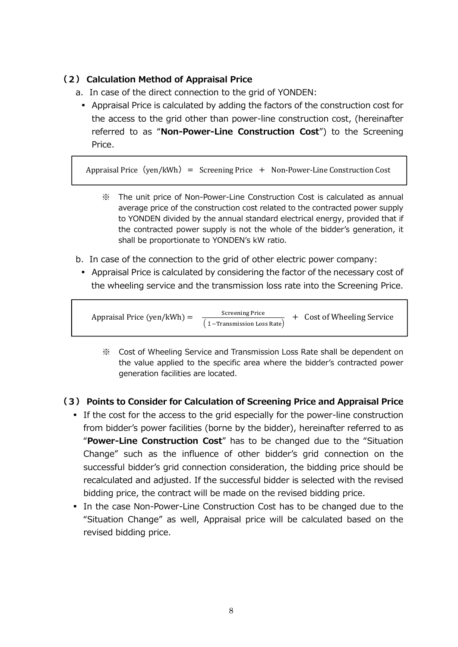### **(2) Calculation Method of Appraisal Price**

- a. In case of the direct connection to the grid of YONDEN:
- Appraisal Price is calculated by adding the factors of the construction cost for the access to the grid other than power-line construction cost, (hereinafter referred to as "**Non-Power-Line Construction Cost**") to the Screening Price.

Appraisal Price  $(\text{yen}/kWh)$  = Screening Price + Non-Power-Line Construction Cost

- ※ The unit price of Non-Power-Line Construction Cost is calculated as annual average price of the construction cost related to the contracted power supply to YONDEN divided by the annual standard electrical energy, provided that if the contracted power supply is not the whole of the bidder's generation, it shall be proportionate to YONDEN's kW ratio.
- b. In case of the connection to the grid of other electric power company:
	- Appraisal Price is calculated by considering the factor of the necessary cost of the wheeling service and the transmission loss rate into the Screening Price.

Appraisal Price (yen/kWh) =  $\frac{6}{5}$  Screening Price  $(1 -$ Transmission Loss Rate) + Cost of Wheeling Service

※ Cost of Wheeling Service and Transmission Loss Rate shall be dependent on the value applied to the specific area where the bidder's contracted power generation facilities are located.

#### **(3) Points to Consider for Calculation of Screening Price and Appraisal Price**

- If the cost for the access to the grid especially for the power-line construction from bidder's power facilities (borne by the bidder), hereinafter referred to as "**Power-Line Construction Cost**" has to be changed due to the "Situation Change" such as the influence of other bidder's grid connection on the successful bidder's grid connection consideration, the bidding price should be recalculated and adjusted. If the successful bidder is selected with the revised bidding price, the contract will be made on the revised bidding price.
- **In the case Non-Power-Line Construction Cost has to be changed due to the** "Situation Change" as well, Appraisal price will be calculated based on the revised bidding price.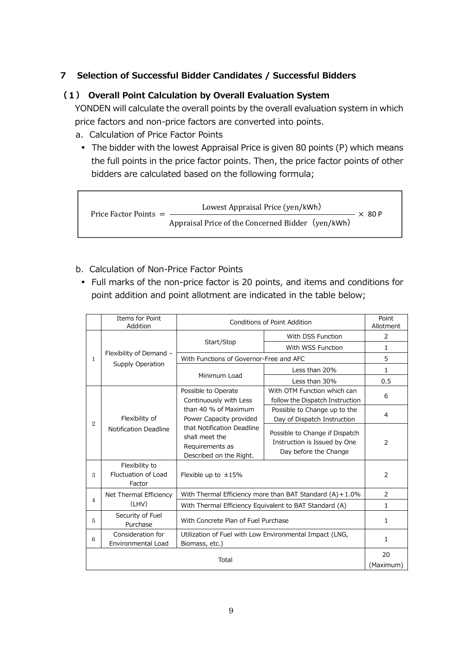#### **7 Selection of Successful Bidder Candidates / Successful Bidders**

#### **(1) Overall Point Calculation by Overall Evaluation System**

YONDEN will calculate the overall points by the overall evaluation system in which price factors and non-price factors are converted into points.

- a. Calculation of Price Factor Points
	- **•** The bidder with the lowest Appraisal Price is given 80 points (P) which means the full points in the price factor points. Then, the price factor points of other bidders are calculated based on the following formula;

Price Factor Points  $=$   $-$ Lowest Appraisal Price (yen/kWh) Appraisal Price of the Concerned Bidder (yen/kWh)  $- \times 80 P$ 

- b. Calculation of Non-Price Factor Points
	- Full marks of the non-price factor is 20 points, and items and conditions for point addition and point allotment are indicated in the table below;

|                | Items for Point<br>Addition                     | Conditions of Point Addition                                                                                                                  |                                                                                         | Point<br>Allotment |
|----------------|-------------------------------------------------|-----------------------------------------------------------------------------------------------------------------------------------------------|-----------------------------------------------------------------------------------------|--------------------|
| 1              | Flexibility of Demand -<br>Supply Operation     |                                                                                                                                               | With DSS Function                                                                       | $\overline{2}$     |
|                |                                                 | Start/Stop                                                                                                                                    | With WSS Function                                                                       | 1                  |
|                |                                                 | With Functions of Governor-Free and AFC                                                                                                       |                                                                                         | 5                  |
|                |                                                 |                                                                                                                                               | Less than 20%                                                                           | 1                  |
|                |                                                 | Minimum Load                                                                                                                                  | Less than 30%                                                                           | 0.5                |
|                |                                                 | Possible to Operate<br>Continuously with Less                                                                                                 | With OTM Function which can<br>follow the Dispatch Instruction                          | 6                  |
| $\overline{2}$ | Flexibility of<br>Notification Deadline         | than 40 % of Maximum<br>Power Capacity provided<br>that Notification Deadline<br>shall meet the<br>Requirements as<br>Described on the Right. | Possible to Change up to the<br>Day of Dispatch Instruction                             | $\overline{4}$     |
|                |                                                 |                                                                                                                                               | Possible to Change if Dispatch<br>Instruction is Issued by One<br>Day before the Change | 2                  |
| 3              | Flexibility to<br>Fluctuation of Load<br>Factor | Flexible up to $\pm 15\%$                                                                                                                     |                                                                                         | 2                  |
|                | Net Thermal Efficiency                          |                                                                                                                                               | With Thermal Efficiency more than BAT Standard $(A) + 1.0\%$                            | 2                  |
| $\overline{4}$ | (LHV)                                           | With Thermal Efficiency Equivalent to BAT Standard (A)                                                                                        |                                                                                         | 1                  |
| 5              | Security of Fuel<br>Purchase                    | With Concrete Plan of Fuel Purchase                                                                                                           |                                                                                         | 1                  |
| 6              | Consideration for<br>Environmental Load         | Utilization of Fuel with Low Environmental Impact (LNG,<br>Biomass, etc.)                                                                     |                                                                                         | $\mathbf{1}$       |
| Total          |                                                 |                                                                                                                                               | 20<br>(Maximum)                                                                         |                    |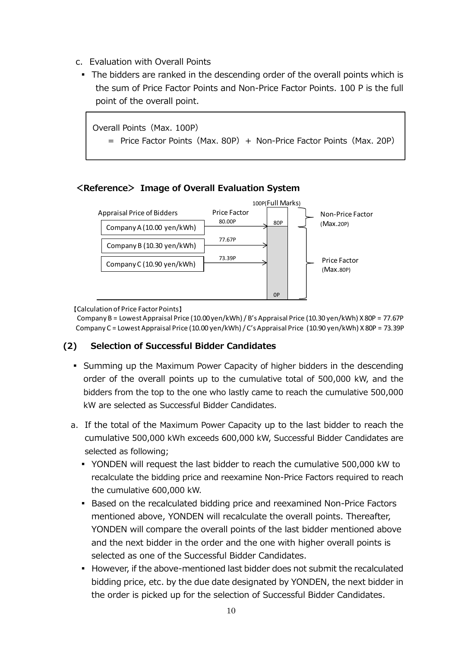- c. Evaluation with Overall Points
	- The bidders are ranked in the descending order of the overall points which is the sum of Price Factor Points and Non-Price Factor Points. 100 P is the full point of the overall point.

Overall Points(Max. 100P)

= Price Factor Points (Max. 80P) + Non-Price Factor Points (Max. 20P)

#### **<Reference> Image of Overall Evaluation System**



【Calculation of Price Factor Points】

Company B = Lowest Appraisal Price (10.00 yen/kWh) / B's Appraisal Price (10.30 yen/kWh) X 80P = 77.67P Company C = Lowest Appraisal Price (10.00 yen/kWh) / C's Appraisal Price (10.90 yen/kWh) X 80P = 73.39P

#### **(2) Selection of Successful Bidder Candidates**

- Summing up the Maximum Power Capacity of higher bidders in the descending order of the overall points up to the cumulative total of 500,000 kW, and the bidders from the top to the one who lastly came to reach the cumulative 500,000 kW are selected as Successful Bidder Candidates.
- a. If the total of the Maximum Power Capacity up to the last bidder to reach the cumulative 500,000 kWh exceeds 600,000 kW, Successful Bidder Candidates are selected as following;
	- YONDEN will request the last bidder to reach the cumulative 500,000 kW to recalculate the bidding price and reexamine Non-Price Factors required to reach the cumulative 600,000 kW.
	- **Based on the recalculated bidding price and reexamined Non-Price Factors** mentioned above, YONDEN will recalculate the overall points. Thereafter, YONDEN will compare the overall points of the last bidder mentioned above and the next bidder in the order and the one with higher overall points is selected as one of the Successful Bidder Candidates.
	- However, if the above-mentioned last bidder does not submit the recalculated bidding price, etc. by the due date designated by YONDEN, the next bidder in the order is picked up for the selection of Successful Bidder Candidates.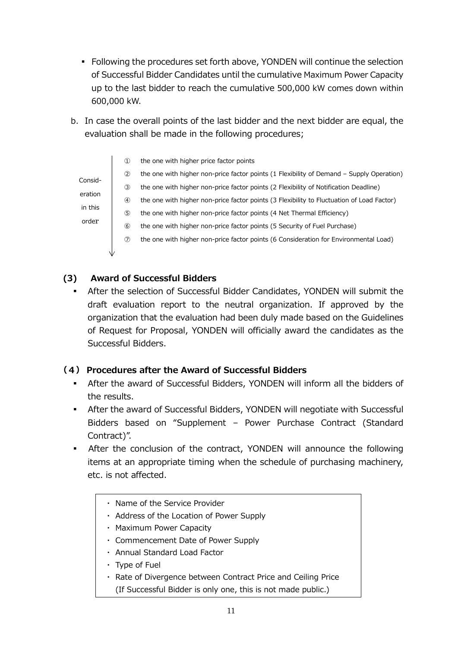- Following the procedures set forth above, YONDEN will continue the selection of Successful Bidder Candidates until the cumulative Maximum Power Capacity up to the last bidder to reach the cumulative 500,000 kW comes down within 600,000 kW.
- b. In case the overall points of the last bidder and the next bidder are equal, the evaluation shall be made in the following procedures;

|         | (1)           | the one with higher price factor points                                                   |
|---------|---------------|-------------------------------------------------------------------------------------------|
|         | (2)           | the one with higher non-price factor points (1 Flexibility of Demand – Supply Operation)  |
| Consid- | $\circled{3}$ | the one with higher non-price factor points (2 Flexibility of Notification Deadline)      |
| eration | (4)           | the one with higher non-price factor points (3 Flexibility to Fluctuation of Load Factor) |
| in this | $\circledS$   | the one with higher non-price factor points (4 Net Thermal Efficiency)                    |
| order   | (6)           | the one with higher non-price factor points (5 Security of Fuel Purchase)                 |
|         | $\circled7$   | the one with higher non-price factor points (6 Consideration for Environmental Load)      |
|         |               |                                                                                           |

## **(3) Award of Successful Bidders**

After the selection of Successful Bidder Candidates, YONDEN will submit the draft evaluation report to the neutral organization. If approved by the organization that the evaluation had been duly made based on the Guidelines of Request for Proposal, YONDEN will officially award the candidates as the Successful Bidders.

## **(4) Procedures after the Award of Successful Bidders**

- After the award of Successful Bidders, YONDEN will inform all the bidders of the results.
- **After the award of Successful Bidders, YONDEN will negotiate with Successful** Bidders based on "Supplement – Power Purchase Contract (Standard Contract)".
- **•** After the conclusion of the contract, YONDEN will announce the following items at an appropriate timing when the schedule of purchasing machinery, etc. is not affected.
	- ・ Name of the Service Provider
	- ・ Address of the Location of Power Supply
	- ・ Maximum Power Capacity
	- ・ Commencement Date of Power Supply
	- ・ Annual Standard Load Factor
	- ・ Type of Fuel
	- ・ Rate of Divergence between Contract Price and Ceiling Price (If Successful Bidder is only one, this is not made public.)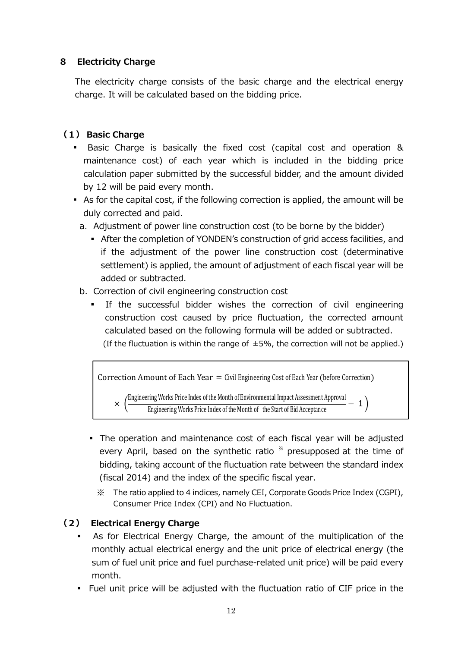#### **8 Electricity Charge**

The electricity charge consists of the basic charge and the electrical energy charge. It will be calculated based on the bidding price.

## **(1) Basic Charge**

- Basic Charge is basically the fixed cost (capital cost and operation & maintenance cost) of each year which is included in the bidding price calculation paper submitted by the successful bidder, and the amount divided by 12 will be paid every month.
- As for the capital cost, if the following correction is applied, the amount will be duly corrected and paid.
	- a. Adjustment of power line construction cost (to be borne by the bidder)
		- **EXECT:** After the completion of YONDEN's construction of grid access facilities, and if the adjustment of the power line construction cost (determinative settlement) is applied, the amount of adjustment of each fiscal year will be added or subtracted.
	- b. Correction of civil engineering construction cost
		- If the successful bidder wishes the correction of civil engineering construction cost caused by price fluctuation, the corrected amount calculated based on the following formula will be added or subtracted. (If the fluctuation is within the range of  $\pm 5\%$ , the correction will not be applied.)



- The operation and maintenance cost of each fiscal year will be adjusted every April, based on the synthetic ratio  $*$  presupposed at the time of bidding, taking account of the fluctuation rate between the standard index (fiscal 2014) and the index of the specific fiscal year.
	- ※ The ratio applied to 4 indices, namely CEI, Corporate Goods Price Index (CGPI), Consumer Price Index (CPI) and No Fluctuation.

## **(2) Electrical Energy Charge**

- As for Electrical Energy Charge, the amount of the multiplication of the monthly actual electrical energy and the unit price of electrical energy (the sum of fuel unit price and fuel purchase-related unit price) will be paid every month.
- Fuel unit price will be adjusted with the fluctuation ratio of CIF price in the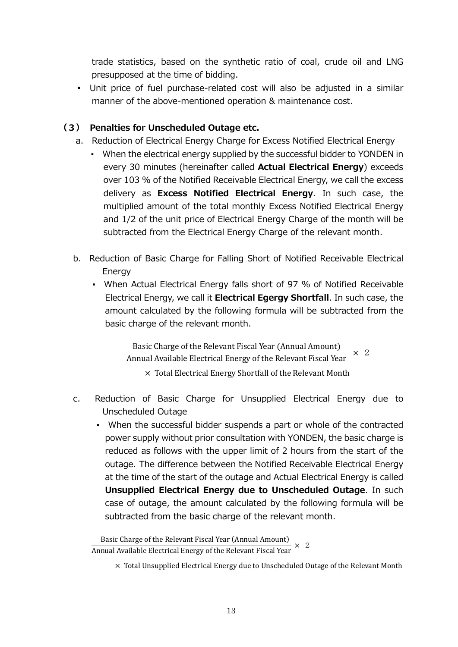trade statistics, based on the synthetic ratio of coal, crude oil and LNG presupposed at the time of bidding.

▪ Unit price of fuel purchase-related cost will also be adjusted in a similar manner of the above-mentioned operation & maintenance cost.

#### **(3) Penalties for Unscheduled Outage etc.**

- a. Reduction of Electrical Energy Charge for Excess Notified Electrical Energy
	- When the electrical energy supplied by the successful bidder to YONDEN in every 30 minutes (hereinafter called **Actual Electrical Energy**) exceeds over 103 % of the Notified Receivable Electrical Energy, we call the excess delivery as **Excess Notified Electrical Energy**. In such case, the multiplied amount of the total monthly Excess Notified Electrical Energy and 1/2 of the unit price of Electrical Energy Charge of the month will be subtracted from the Electrical Energy Charge of the relevant month.
- b. Reduction of Basic Charge for Falling Short of Notified Receivable Electrical Energy
	- When Actual Electrical Energy falls short of 97 % of Notified Receivable Electrical Energy, we call it **Electrical Egergy Shortfall**. In such case, the amount calculated by the following formula will be subtracted from the basic charge of the relevant month.

Basic Charge of the Relevant Fiscal Year (Annual Amount)<br>Annual Available Electrical Energy of the Relevant Fiscal Year  $\times$  2

 $\times$  Total Electrical Energy Shortfall of the Relevant Month

- c. Reduction of Basic Charge for Unsupplied Electrical Energy due to Unscheduled Outage
	- When the successful bidder suspends a part or whole of the contracted power supply without prior consultation with YONDEN, the basic charge is reduced as follows with the upper limit of 2 hours from the start of the outage. The difference between the Notified Receivable Electrical Energy at the time of the start of the outage and Actual Electrical Energy is called **Unsupplied Electrical Energy due to Unscheduled Outage**. In such case of outage, the amount calculated by the following formula will be subtracted from the basic charge of the relevant month.

Basic Charge of the Relevant Fiscal Year (Annual Amount) Annual Available Electrical Energy of the Relevant Fiscal Year

 $\times$  Total Unsupplied Electrical Energy due to Unscheduled Outage of the Relevant Month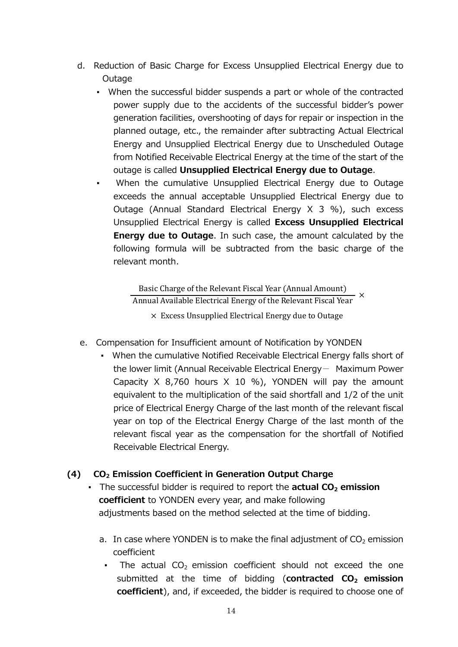- d. Reduction of Basic Charge for Excess Unsupplied Electrical Energy due to Outage
	- When the successful bidder suspends a part or whole of the contracted power supply due to the accidents of the successful bidder's power generation facilities, overshooting of days for repair or inspection in the planned outage, etc., the remainder after subtracting Actual Electrical Energy and Unsupplied Electrical Energy due to Unscheduled Outage from Notified Receivable Electrical Energy at the time of the start of the outage is called **Unsupplied Electrical Energy due to Outage**.
	- When the cumulative Unsupplied Electrical Energy due to Outage exceeds the annual acceptable Unsupplied Electrical Energy due to Outage (Annual Standard Electrical Energy X 3 %), such excess Unsupplied Electrical Energy is called **Excess Unsupplied Electrical Energy due to Outage.** In such case, the amount calculated by the following formula will be subtracted from the basic charge of the relevant month.

Basic Charge of the Relevant Fiscal Year (Annual Amount) Annual Available Electrical Energy of the Relevant Fiscal Year  $\times$  $\times$  Excess Unsupplied Electrical Energy due to Outage

- e. Compensation for Insufficient amount of Notification by YONDEN
	- When the cumulative Notified Receivable Electrical Energy falls short of the lower limit (Annual Receivable Electrical Energy- Maximum Power Capacity  $X$  8,760 hours  $X$  10 %), YONDEN will pay the amount equivalent to the multiplication of the said shortfall and 1/2 of the unit price of Electrical Energy Charge of the last month of the relevant fiscal year on top of the Electrical Energy Charge of the last month of the relevant fiscal year as the compensation for the shortfall of Notified Receivable Electrical Energy.

#### **(4) CO2 Emission Coefficient in Generation Output Charge**

- The successful bidder is required to report the **actual CO2 emission coefficient** to YONDEN every year, and make following adjustments based on the method selected at the time of bidding.
	- a. In case where YONDEN is to make the final adjustment of  $CO<sub>2</sub>$  emission coefficient
		- **•** The actual  $CO<sub>2</sub>$  emission coefficient should not exceed the one submitted at the time of bidding (**contracted CO2 emission coefficient**), and, if exceeded, the bidder is required to choose one of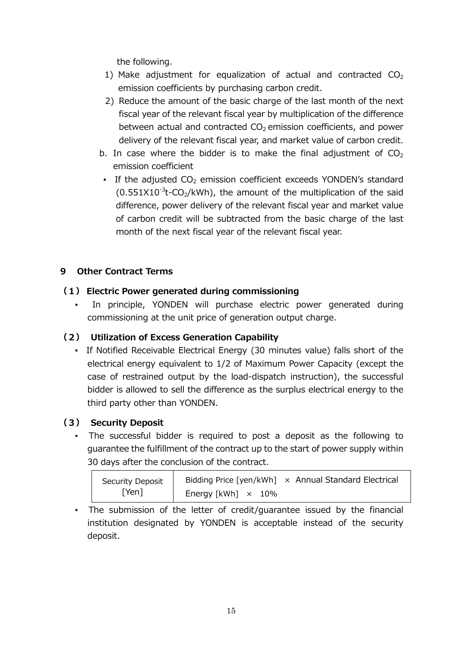the following.

- 1) Make adjustment for equalization of actual and contracted  $CO<sub>2</sub>$ emission coefficients by purchasing carbon credit.
- 2) Reduce the amount of the basic charge of the last month of the next fiscal year of the relevant fiscal year by multiplication of the difference between actual and contracted  $CO<sub>2</sub>$  emission coefficients, and power delivery of the relevant fiscal year, and market value of carbon credit.
- b. In case where the bidder is to make the final adjustment of  $CO<sub>2</sub>$ emission coefficient
- **•** If the adjusted  $CO<sub>2</sub>$  emission coefficient exceeds YONDEN's standard  $(0.551X10^{-3}t$ -CO<sub>2</sub>/kWh), the amount of the multiplication of the said difference, power delivery of the relevant fiscal year and market value of carbon credit will be subtracted from the basic charge of the last month of the next fiscal year of the relevant fiscal year.

#### **9 Other Contract Terms**

#### **(1) Electric Power generated during commissioning**

In principle, YONDEN will purchase electric power generated during commissioning at the unit price of generation output charge.

## **(2) Utilization of Excess Generation Capability**

▪ If Notified Receivable Electrical Energy (30 minutes value) falls short of the electrical energy equivalent to 1/2 of Maximum Power Capacity (except the case of restrained output by the load-dispatch instruction), the successful bidder is allowed to sell the difference as the surplus electrical energy to the third party other than YONDEN.

#### **(3) Security Deposit**

▪ The successful bidder is required to post a deposit as the following to guarantee the fulfillment of the contract up to the start of power supply within 30 days after the conclusion of the contract.

| Security Deposit | Bidding Price [yen/kWh] $\times$ Annual Standard Electrical |
|------------------|-------------------------------------------------------------|
| [Yen]            | Energy [kWh] $\times$ 10%                                   |

▪ The submission of the letter of credit/guarantee issued by the financial institution designated by YONDEN is acceptable instead of the security deposit.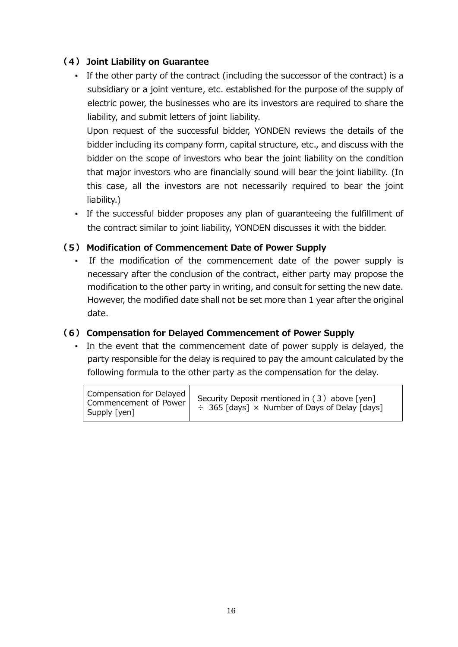#### **(4) Joint Liability on Guarantee**

▪ If the other party of the contract (including the successor of the contract) is a subsidiary or a joint venture, etc. established for the purpose of the supply of electric power, the businesses who are its investors are required to share the liability, and submit letters of joint liability.

Upon request of the successful bidder, YONDEN reviews the details of the bidder including its company form, capital structure, etc., and discuss with the bidder on the scope of investors who bear the joint liability on the condition that major investors who are financially sound will bear the joint liability. (In this case, all the investors are not necessarily required to bear the joint liability.)

▪ If the successful bidder proposes any plan of guaranteeing the fulfillment of the contract similar to joint liability, YONDEN discusses it with the bidder.

#### **(5) Modification of Commencement Date of Power Supply**

▪ If the modification of the commencement date of the power supply is necessary after the conclusion of the contract, either party may propose the modification to the other party in writing, and consult for setting the new date. However, the modified date shall not be set more than 1 year after the original date.

#### **(6) Compensation for Delayed Commencement of Power Supply**

• In the event that the commencement date of power supply is delayed, the party responsible for the delay is required to pay the amount calculated by the following formula to the other party as the compensation for the delay.

Compensation for Delayed Commencement of Power Supply [yen] Security Deposit mentioned in  $(3)$  above [yen]  $\div$  365 [days]  $\times$  Number of Days of Delay [days]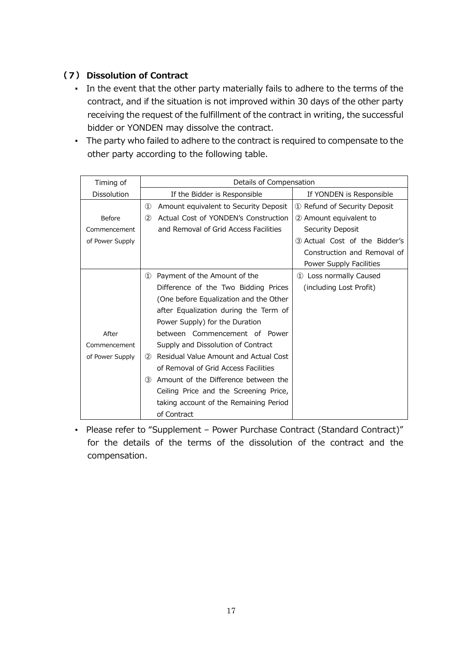## **(7) Dissolution of Contract**

- In the event that the other party materially fails to adhere to the terms of the contract, and if the situation is not improved within 30 days of the other party receiving the request of the fulfillment of the contract in writing, the successful bidder or YONDEN may dissolve the contract.
- The party who failed to adhere to the contract is required to compensate to the other party according to the following table.

| Timing of       | Details of Compensation                                |                               |  |
|-----------------|--------------------------------------------------------|-------------------------------|--|
| Dissolution     | If the Bidder is Responsible                           | If YONDEN is Responsible      |  |
|                 | $\circled{1}$<br>Amount equivalent to Security Deposit | 1) Refund of Security Deposit |  |
| Before          | Actual Cost of YONDEN's Construction<br>(2)            | 2 Amount equivalent to        |  |
| Commencement    | and Removal of Grid Access Facilities                  | Security Deposit              |  |
| of Power Supply |                                                        | 3 Actual Cost of the Bidder's |  |
|                 |                                                        | Construction and Removal of   |  |
|                 |                                                        | Power Supply Facilities       |  |
|                 | Payment of the Amount of the<br>$\mathcal{D}$          | 1 Loss normally Caused        |  |
|                 | Difference of the Two Bidding Prices                   | (including Lost Profit)       |  |
|                 | (One before Equalization and the Other                 |                               |  |
|                 | after Equalization during the Term of                  |                               |  |
|                 | Power Supply) for the Duration                         |                               |  |
| After           | between Commencement of Power                          |                               |  |
| Commencement    | Supply and Dissolution of Contract                     |                               |  |
| of Power Supply | 2 Residual Value Amount and Actual Cost                |                               |  |
|                 | of Removal of Grid Access Facilities                   |                               |  |
|                 | Amount of the Difference between the<br>(3)            |                               |  |
|                 | Ceiling Price and the Screening Price,                 |                               |  |
|                 | taking account of the Remaining Period                 |                               |  |
|                 | of Contract                                            |                               |  |

▪ Please refer to "Supplement – Power Purchase Contract (Standard Contract)" for the details of the terms of the dissolution of the contract and the compensation.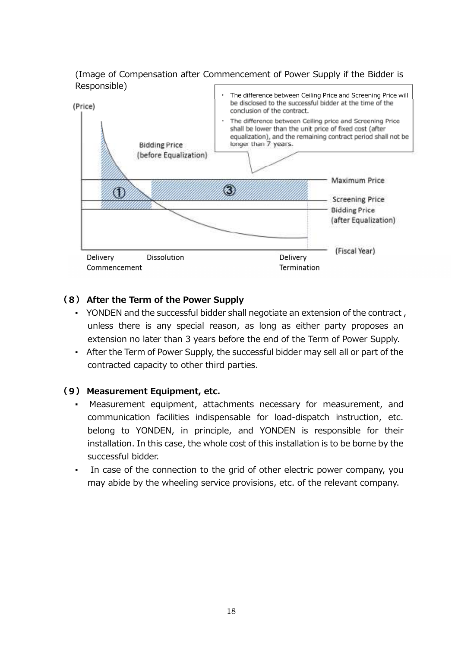(Image of Compensation after Commencement of Power Supply if the Bidder is Responsible)



#### **(8) After the Term of the Power Supply**

- YONDEN and the successful bidder shall negotiate an extension of the contract , unless there is any special reason, as long as either party proposes an extension no later than 3 years before the end of the Term of Power Supply.
- After the Term of Power Supply, the successful bidder may sell all or part of the contracted capacity to other third parties.

#### **(9) Measurement Equipment, etc.**

- Measurement equipment, attachments necessary for measurement, and communication facilities indispensable for load-dispatch instruction, etc. belong to YONDEN, in principle, and YONDEN is responsible for their installation. In this case, the whole cost of this installation is to be borne by the successful bidder.
- In case of the connection to the grid of other electric power company, you may abide by the wheeling service provisions, etc. of the relevant company.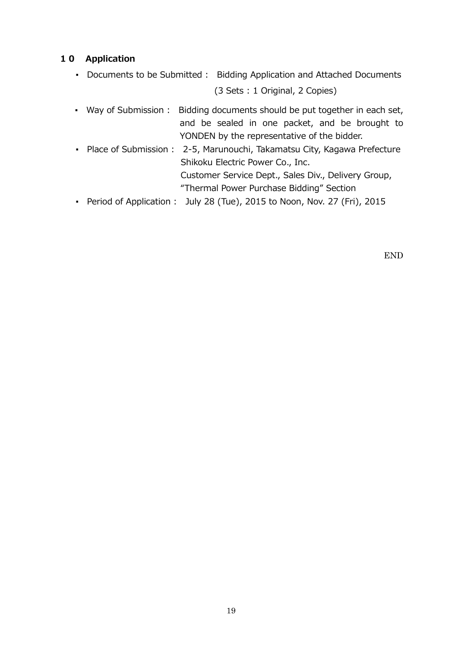#### **10 Application**

- Documents to be Submitted : Bidding Application and Attached Documents (3 Sets : 1 Original, 2 Copies)
- Way of Submission : Bidding documents should be put together in each set, and be sealed in one packet, and be brought to YONDEN by the representative of the bidder.
- Place of Submission : 2-5, Marunouchi, Takamatsu City, Kagawa Prefecture Shikoku Electric Power Co., Inc. Customer Service Dept., Sales Div., Delivery Group, "Thermal Power Purchase Bidding" Section
- Period of Application : July 28 (Tue), 2015 to Noon, Nov. 27 (Fri), 2015

END